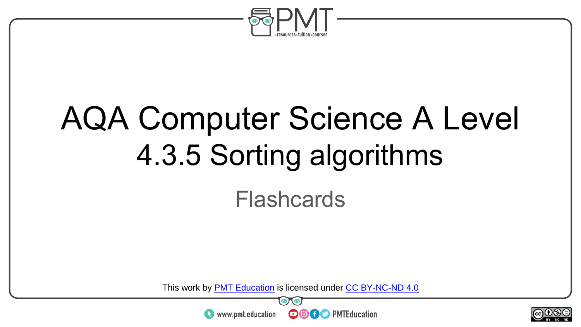

# AQA Computer Science A Level 4.3.5 Sorting algorithms Flashcards

This work by <u>PMT Education</u> is licensed under CC BY-NC-ND 4.0<br>
www.pmt.education **in the CO CO** PMTEducation



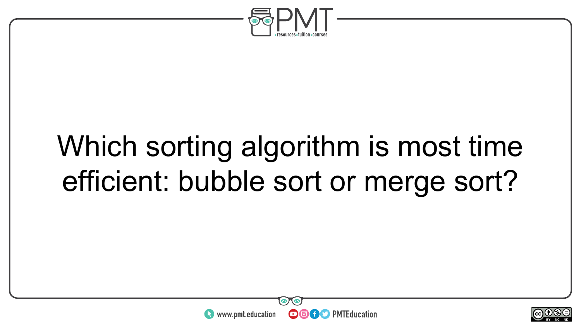

## Which sorting algorithm is most time efficient: bubble sort or merge sort?



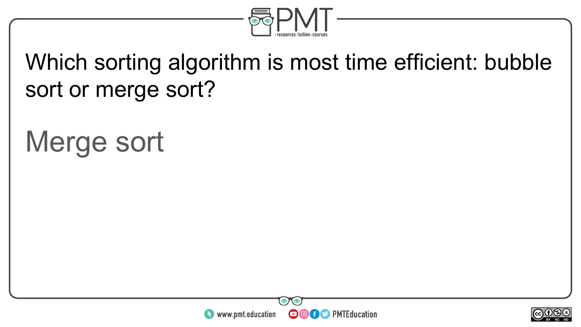

#### Which sorting algorithm is most time efficient: bubble sort or merge sort?

### Merge sort



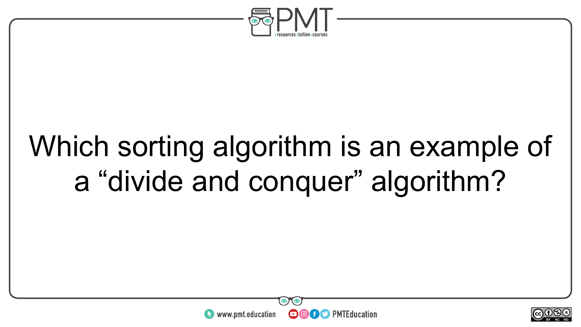

## Which sorting algorithm is an example of a "divide and conquer" algorithm?



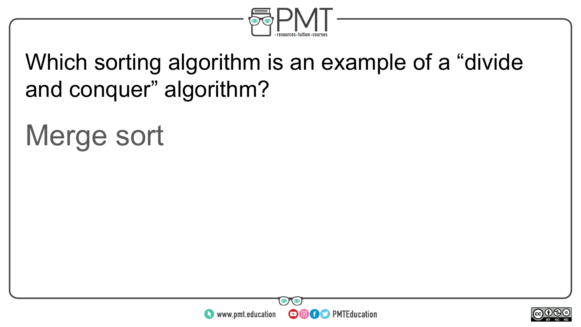

#### Which sorting algorithm is an example of a "divide and conquer" algorithm?

#### Merge sort



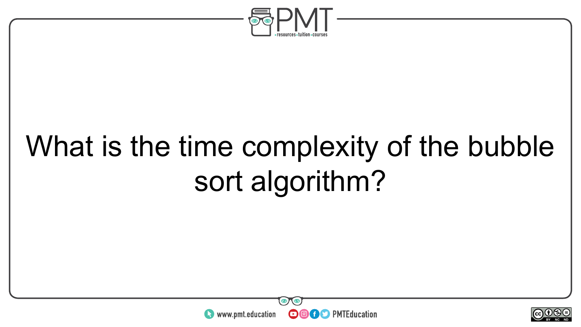

# What is the time complexity of the bubble sort algorithm?



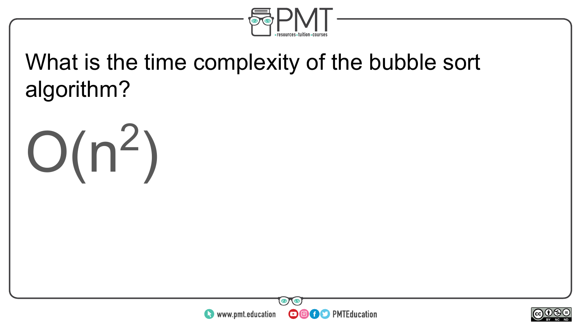

#### What is the time complexity of the bubble sort algorithm?





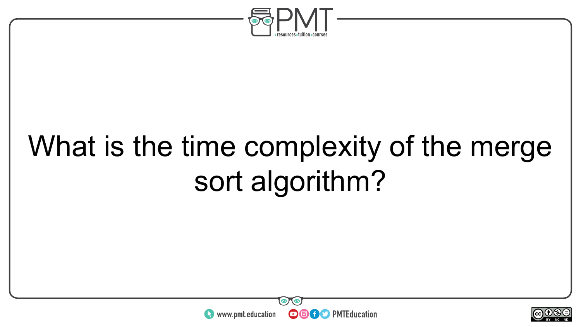

# What is the time complexity of the merge sort algorithm?



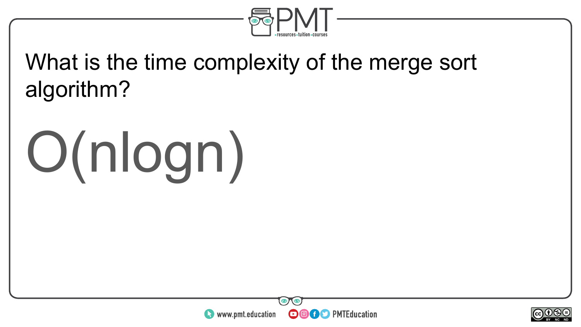

#### What is the time complexity of the merge sort algorithm?

# O(nlogn)



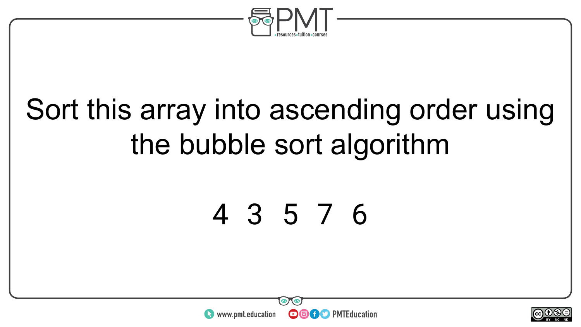

## Sort this array into ascending order using the bubble sort algorithm

#### 4 3 5 7 6



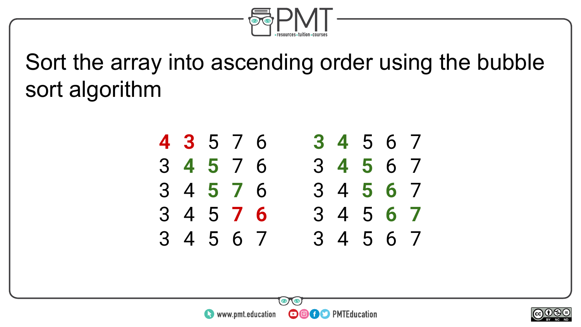

#### Sort the array into ascending order using the bubble sort algorithm



®)

**OOOO** PMTEducation



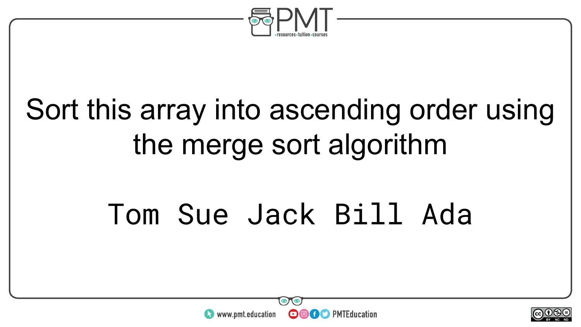

## Sort this array into ascending order using the merge sort algorithm

## Tom Sue Jack Bill Ada